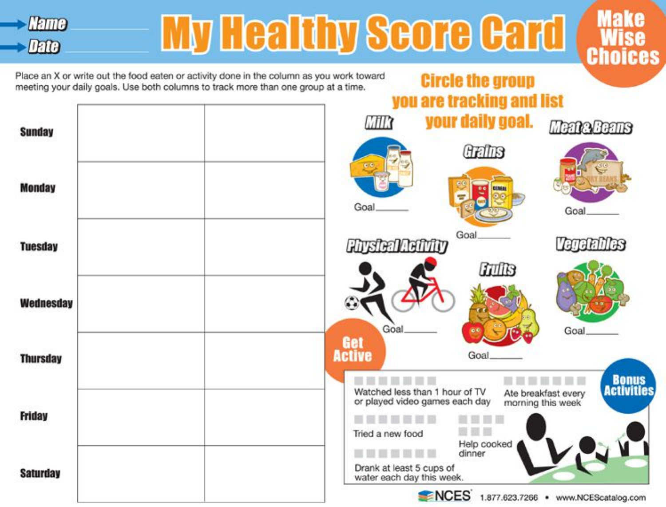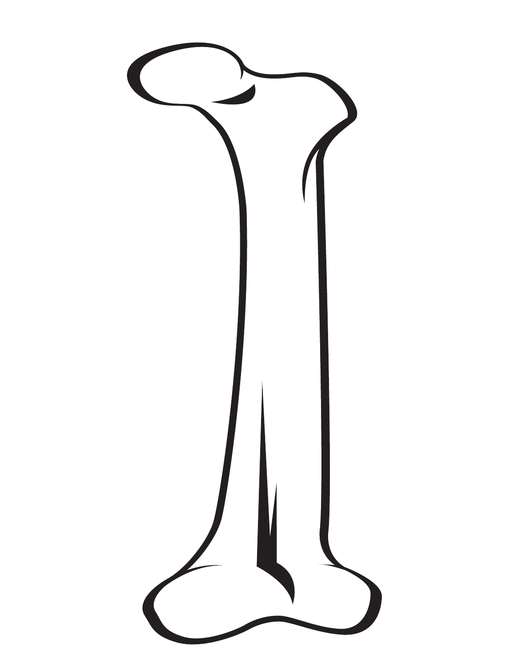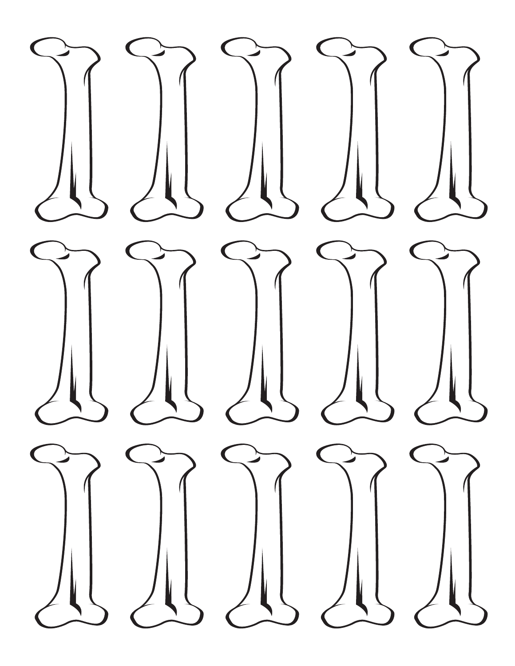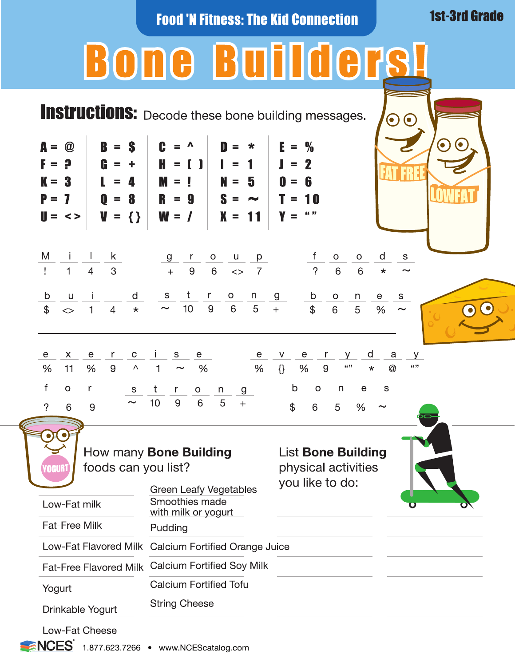## **Food 'N Fitness: The Kid Connection**

**1st-3rd Grade** 

 $\overline{\textbf{O}}$ 

## **Bone Builders!**

**Instructions:** Decode these bone building messages.

| S<br>B<br>$^{\textregistered}$<br>$A =$<br>$\equiv$<br>p<br>÷<br>$\equiv$<br>3<br>$\mathbf{K} =$<br>4<br>=<br>P =<br>7<br>8<br>=<br>$\mathbf{U} = \langle \rangle$<br>$\{\}$<br>$\equiv$ | C<br>$\mathbf{v}$<br>≡<br>Ξ<br>5<br>$=$<br>=<br>9<br>W<br>X.<br>11<br>$\overline{\phantom{a}}$<br>$=$<br>$\equiv$                                                      | $\bullet$<br>$\frac{0}{2}$<br>=<br>$\mathbf 2$<br>6<br>O<br>$\equiv$<br>10<br>66 99                                                                                                        |
|------------------------------------------------------------------------------------------------------------------------------------------------------------------------------------------|------------------------------------------------------------------------------------------------------------------------------------------------------------------------|--------------------------------------------------------------------------------------------------------------------------------------------------------------------------------------------|
| M<br>j.<br>k.<br>3<br>1<br>$\overline{4}$<br>T                                                                                                                                           | g<br>r.<br>$\mathsf O$<br>u<br>p<br>9<br>6<br>$\mathrel{<>}$<br>$\overline{7}$<br>$\boldsymbol{+}$                                                                     | f<br>d<br>$\mathsf O$<br>$\mathsf O$<br>${\mathsf S}$<br>$6\phantom{a}$<br>$\overline{?}$<br>6<br>$\star$                                                                                  |
| b<br>d<br>u<br>$\mathbf{I}$<br>$\frac{1}{2}$<br>$\overline{4}$<br>$\star$<br>$\mathrel{<>}$                                                                                              | t<br>$\mathsf{r}$<br>S<br>$\mathsf O$<br>n<br>10<br>$9$<br>$6\phantom{1}$<br>5<br>$\thicksim$                                                                          | g<br>b<br>$\mathsf O$<br>n<br>e<br>S<br>$\mathfrak{S}$<br>$6\phantom{a}$<br>5<br>$\bullet$<br>%<br>$+$<br>$\bullet$                                                                        |
| ${\bf e}$<br>X<br>e<br>r<br>${\bf C}$<br>%<br>11<br>%<br>9<br>$\land$<br>$\mathsf{f}$<br>$\mathsf O$<br>r<br>${\mathsf s}$<br>$\overline{9}$<br>$\overline{?}$<br>$6\phantom{1}$         | S<br>$\mathsf{e}$<br>e<br>%<br>%<br>1<br>$\tilde{\phantom{a}}$<br>t<br>$\mathsf O$<br>n<br>$\mathsf g$<br>r<br>10<br>$9$<br>$\,6\,$<br>$\sqrt{5}$<br>$\qquad \qquad +$ | $\mathsf{e}$<br>d<br>a<br>v<br>r<br>У<br>66.99<br>66.99<br>$9\,$<br>$\{\}$<br>$\%$<br>@<br>$\star$<br>b<br>$\mathsf O$<br>n<br>$\mathbf e$<br>${\sf s}$<br>$\mathcal{S}$<br>6<br>5<br>$\%$ |
| foods can you list?<br><b>rogul</b><br>Low-Fat milk<br><b>Fat-Free Milk</b>                                                                                                              | How many Bone Building<br><b>Green Leafy Vegetables</b><br>Smoothies made<br>with milk or yogurt<br>Pudding                                                            | <b>List Bone Building</b><br>physical activities<br>you like to do:<br>$\overline{\textbf{C}}$                                                                                             |
| Low-Fat Flavored Milk                                                                                                                                                                    | <b>Calcium Fortified Orange Juice</b>                                                                                                                                  |                                                                                                                                                                                            |
| <b>Fat-Free Flavored Milk</b>                                                                                                                                                            | <b>Calcium Fortified Soy Milk</b>                                                                                                                                      |                                                                                                                                                                                            |
| Yogurt                                                                                                                                                                                   | <b>Calcium Fortified Tofu</b>                                                                                                                                          |                                                                                                                                                                                            |
| Drinkable Yogurt                                                                                                                                                                         | <b>String Cheese</b>                                                                                                                                                   |                                                                                                                                                                                            |
| Low-Fat Cheese                                                                                                                                                                           |                                                                                                                                                                        |                                                                                                                                                                                            |

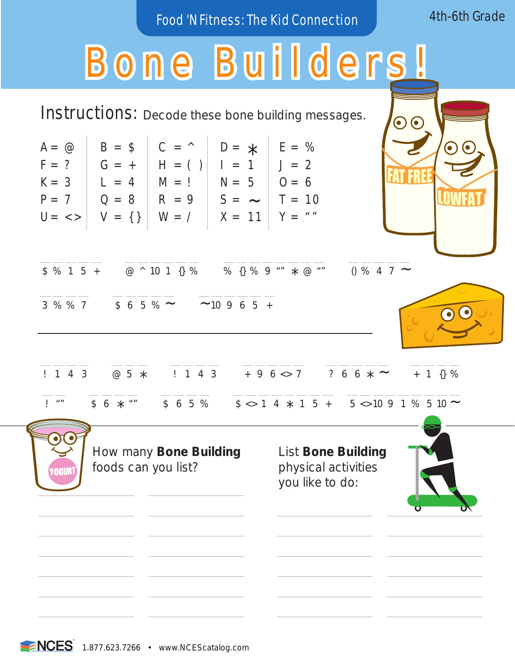### Food 'N Fitness: The Kid Connection

4th-6th Grade

## Bone Builders!

**Instructions:** Decode these bone building messages.

| <b>Instructions:</b> Decode these bone building messages.<br>$\odot$ $\odot$                                                         |                                                           |                                                                                                                      |                                                                     |                          |  |  |  |  |
|--------------------------------------------------------------------------------------------------------------------------------------|-----------------------------------------------------------|----------------------------------------------------------------------------------------------------------------------|---------------------------------------------------------------------|--------------------------|--|--|--|--|
| $A = \omega$<br>$B = $$<br>$F = ?$<br>$G = +$<br>$K = 3$<br>L.<br>$= 4$<br>$Q = 8$<br>$P = 7$<br>$U = \langle \rangle$<br>$V = \{\}$ | $C = \Delta$<br>$H = ()$<br>$M = I$<br>$R = 9$<br>$W = /$ | $E = %$<br>$D = \star$<br>$J = 2$<br>$I = 1$<br>$N = 5$<br>$0 = 6$<br>$S = \sim$<br>$T = 10$<br>$Y =$ ""<br>$X = 11$ |                                                                     | $\left( \bullet \right)$ |  |  |  |  |
| $$ \% 15 +$                                                                                                                          | @ ^ 10 1 {} %                                             | % {} % 9 "" * @ ""                                                                                                   | $0\%47$ ~                                                           |                          |  |  |  |  |
| 3 % % 7<br>\$65%                                                                                                                     | $\sim$ 10 9 6 5 +                                         |                                                                                                                      |                                                                     | $\odot$                  |  |  |  |  |
| ! 1 4 3<br>@ $5 *$                                                                                                                   | ! 1 4 3                                                   | $+ 9 6 < > 7$                                                                                                        | $? 6 6 * ~$                                                         | $+ 1 \ \}$ %             |  |  |  |  |
| $$6 * "$<br>$\int$ $\frac{u}{2}$                                                                                                     | \$65%                                                     |                                                                                                                      | $$ \leq 1$ 4 $*$ 1 5 + 5 < > 10 9 1 % 5 10 ~                        |                          |  |  |  |  |
| foods can you list?<br><b>TOGUI</b>                                                                                                  | How many Bone Building                                    |                                                                                                                      | <b>List Bone Building</b><br>physical activities<br>you like to do: |                          |  |  |  |  |
|                                                                                                                                      |                                                           |                                                                                                                      |                                                                     |                          |  |  |  |  |

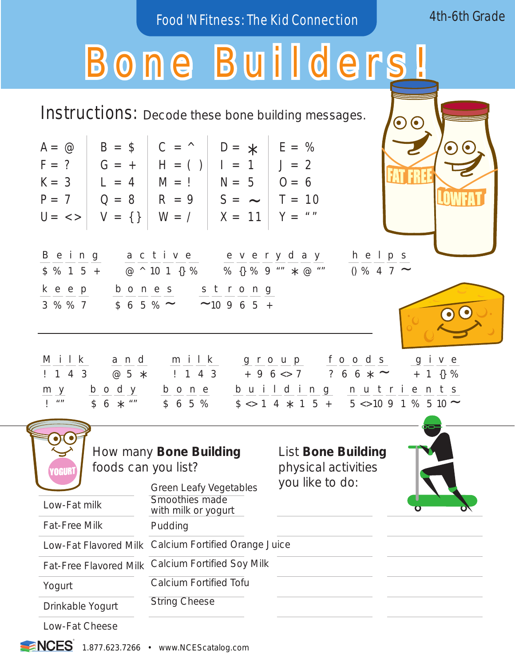### Food 'N Fitness: The Kid Connection

4th-6th Grade

# Bone Builders!

| <b>Instructions:</b> Decode these bone building messages.<br>$\odot$ $\odot$                                                     |                                                                                                                                |                                                                     |              |  |  |  |  |  |
|----------------------------------------------------------------------------------------------------------------------------------|--------------------------------------------------------------------------------------------------------------------------------|---------------------------------------------------------------------|--------------|--|--|--|--|--|
| $B = $$<br>$A = \omega$<br>$F = ?$<br>$G = +$<br>$K = 3$<br>$L = 4$<br>$P = 7$<br>$Q = 8$<br>$U = \langle \rangle$<br>$V = \{\}$ | $C = \lambda$<br>$D = \star$<br>$H = ()$<br>$I = 1$<br>$M = I$<br>$N = 5$<br>$S = \sim$<br>$R = 9$<br>$W = \angle$<br>$X = 11$ | $E = %$<br>$J = 2$<br>$0 = 6$<br>$T = 10$<br>$Y =$ ""               |              |  |  |  |  |  |
| keep bones strong<br>$3\%$ % 7 \$ 6 5 % ~ $\sim$ 10 9 6 5 +                                                                      | Being active everyday helps<br>$$ \% 15 + @ ^1101 {}$ & % } % 9 "" * @ "" () % 4 7 ~                                           | $\odot$ $\odot$                                                     |              |  |  |  |  |  |
| $! 1 4 3 2 5 *$<br>$$6 * "$<br>$\sim$ $\mu$ $\mu$                                                                                | <u>Milkand milk group foods give</u><br>my body bone building nutrients<br>$$65\%$ $$<-14 \times 15 + 5->1091\%510 \sim$       | $1 1 4 3 + 9 6 \Leftrightarrow 7$ ? 6 6 * ~                         | $+ 1 \ \}$ % |  |  |  |  |  |
| Low-Fat milk                                                                                                                     | How many Bone Building<br>foods can you list?<br><b>Green Leafy Vegetables</b><br>Smoothies made<br>with milk or yogurt        | <b>List Bone Building</b><br>physical activities<br>you like to do: |              |  |  |  |  |  |
| <b>Fat-Free Milk</b>                                                                                                             | Pudding                                                                                                                        |                                                                     |              |  |  |  |  |  |
| Low-Fat Flavored Milk                                                                                                            | <b>Calcium Fortified Orange Juice</b>                                                                                          |                                                                     |              |  |  |  |  |  |
| <b>Fat-Free Flavored Milk</b>                                                                                                    | <b>Calcium Fortified Soy Milk</b>                                                                                              |                                                                     |              |  |  |  |  |  |
| Yogurt                                                                                                                           | <b>Calcium Fortified Tofu</b>                                                                                                  |                                                                     |              |  |  |  |  |  |
| Drinkable Yogurt                                                                                                                 | <b>String Cheese</b>                                                                                                           |                                                                     |              |  |  |  |  |  |
| Low-Fat Cheese                                                                                                                   |                                                                                                                                |                                                                     |              |  |  |  |  |  |